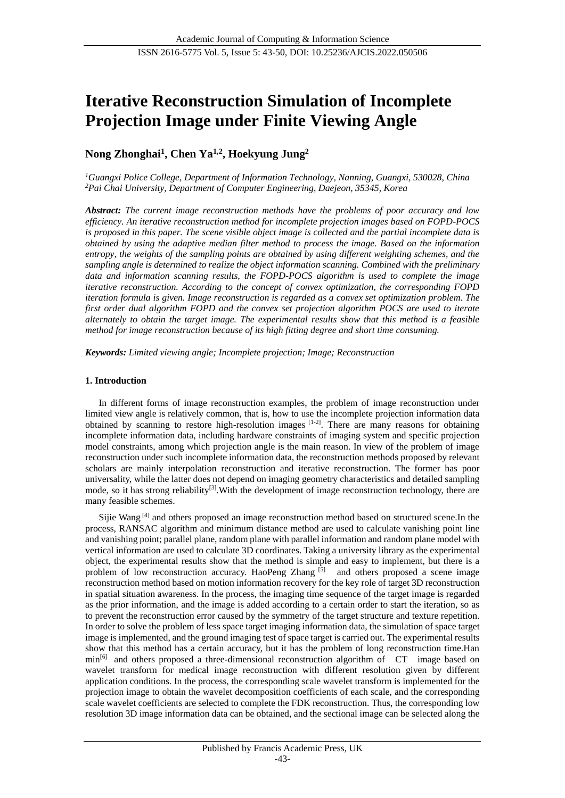# **Iterative Reconstruction Simulation of Incomplete Projection Image under Finite Viewing Angle**

# **Nong Zhonghai<sup>1</sup> , Chen Ya1,2 , Hoekyung Jung<sup>2</sup>**

*<sup>1</sup>Guangxi Police College, Department of Information Technology, Nanning, Guangxi, 530028, China <sup>2</sup>Pai Chai University, Department of Computer Engineering, Daejeon, 35345, Korea*

*Abstract: The current image reconstruction methods have the problems of poor accuracy and low efficiency. An iterative reconstruction method for incomplete projection images based on FOPD-POCS is proposed in this paper. The scene visible object image is collected and the partial incomplete data is obtained by using the adaptive median filter method to process the image. Based on the information entropy, the weights of the sampling points are obtained by using different weighting schemes, and the sampling angle is determined to realize the object information scanning. Combined with the preliminary data and information scanning results, the FOPD-POCS algorithm is used to complete the image iterative reconstruction. According to the concept of convex optimization, the corresponding FOPD iteration formula is given. Image reconstruction is regarded as a convex set optimization problem. The first order dual algorithm FOPD and the convex set projection algorithm POCS are used to iterate alternately to obtain the target image. The experimental results show that this method is a feasible method for image reconstruction because of its high fitting degree and short time consuming.*

*Keywords: Limited viewing angle; Incomplete projection; Image; Reconstruction*

# **1. Introduction**

In different forms of image reconstruction examples, the problem of image reconstruction under limited view angle is relatively common, that is, how to use the incomplete projection information data obtained by scanning to restore high-resolution images [1-2]. There are many reasons for obtaining incomplete information data, including hardware constraints of imaging system and specific projection model constraints, among which projection angle is the main reason. In view of the problem of image reconstruction under such incomplete information data, the reconstruction methods proposed by relevant scholars are mainly interpolation reconstruction and iterative reconstruction. The former has poor universality, while the latter does not depend on imaging geometry characteristics and detailed sampling mode, so it has strong reliability<sup>[3]</sup>. With the development of image reconstruction technology, there are many feasible schemes.

Sijie Wang [4] and others proposed an image reconstruction method based on structured scene.In the process, RANSAC algorithm and minimum distance method are used to calculate vanishing point line and vanishing point; parallel plane, random plane with parallel information and random plane model with vertical information are used to calculate 3D coordinates. Taking a university library as the experimental object, the experimental results show that the method is simple and easy to implement, but there is a problem of low reconstruction accuracy. HaoPeng Zhang [5] and others proposed a scene image reconstruction method based on motion information recovery for the key role of target 3D reconstruction in spatial situation awareness. In the process, the imaging time sequence of the target image is regarded as the prior information, and the image is added according to a certain order to start the iteration, so as to prevent the reconstruction error caused by the symmetry of the target structure and texture repetition. In order to solve the problem of less space target imaging information data, the simulation of space target image is implemented, and the ground imaging test of space target is carried out. The experimental results show that this method has a certain accuracy, but it has the problem of long reconstruction time.Han min<sup>[6]</sup> and others proposed a three-dimensional reconstruction algorithm of CT image based on wavelet transform for medical image reconstruction with different resolution given by different application conditions. In the process, the corresponding scale wavelet transform is implemented for the projection image to obtain the wavelet decomposition coefficients of each scale, and the corresponding scale wavelet coefficients are selected to complete the FDK reconstruction. Thus, the corresponding low resolution 3D image information data can be obtained, and the sectional image can be selected along the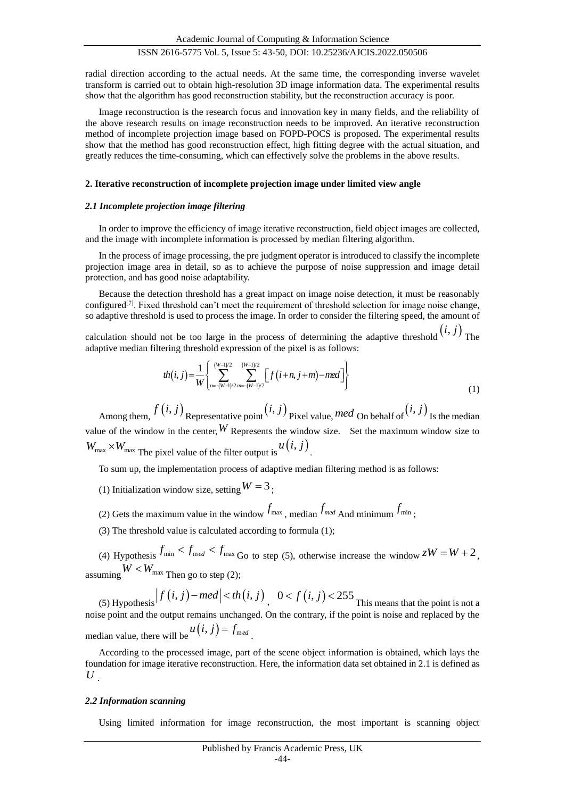radial direction according to the actual needs. At the same time, the corresponding inverse wavelet transform is carried out to obtain high-resolution 3D image information data. The experimental results show that the algorithm has good reconstruction stability, but the reconstruction accuracy is poor.

Image reconstruction is the research focus and innovation key in many fields, and the reliability of the above research results on image reconstruction needs to be improved. An iterative reconstruction method of incomplete projection image based on FOPD-POCS is proposed. The experimental results show that the method has good reconstruction effect, high fitting degree with the actual situation, and greatly reduces the time-consuming, which can effectively solve the problems in the above results.

## **2. Iterative reconstruction of incomplete projection image under limited view angle**

#### *2.1 Incomplete projection image filtering*

In order to improve the efficiency of image iterative reconstruction, field object images are collected, and the image with incomplete information is processed by median filtering algorithm.

In the process of image processing, the pre judgment operator is introduced to classify the incomplete projection image area in detail, so as to achieve the purpose of noise suppression and image detail protection, and has good noise adaptability.

Because the detection threshold has a great impact on image noise detection, it must be reasonably configured<sup>[7]</sup>. Fixed threshold can't meet the requirement of threshold selection for image noise change, so adaptive threshold is used to process the image. In order to consider the filtering speed, the amount of

calculation should not be too large in the process of determining the adaptive threshold  $(i, j)$  The adaptive median filtering threshold expression of the pixel is as follows:

$$
th(i,j) = \frac{1}{W} \left\{ \sum_{n=(W-1)/2}^{(W-1)/2} \sum_{m=(W-1)/2}^{(W-1)/2} \left[ f(i+n, j+m) - med \right] \right\}
$$
(1)

Among them,  $f(i, j)$  Representative point  $(i, j)$  Pixel value, *med* On behalf of  $(i, j)$  Is the median value of the window in the center,  $W$  Represents the window size. Set the maximum window size to  $W_{\text{max}} \times W_{\text{max}}$  The pixel value of the filter output is  $u(i, j)$ .

To sum up, the implementation process of adaptive median filtering method is as follows:

- (1) Initialization window size, setting  $W = 3$ ;
- (2) Gets the maximum value in the window  $f_{\text{max}}$ , median  $f_{\text{med}}$  And minimum  $f_{\text{min}}$ ;
- (3) The threshold value is calculated according to formula (1);

(4) Hypothesis  $f_{\text{min}} < f_{\text{med}} < f_{\text{max}}$  Go to step (5), otherwise increase the window  $zW = W + 2$ , assuming  $W < W_{\text{max}}$  Then go to step (2);

(5) Hypothesis  $|f(i, j) - med| < th(i, j)$ ,  $0 < f(i, j) < 255$  This means that the point is not a noise point and the output remains unchanged. On the contrary, if the point is noise and replaced by the median value, there will be  $u(i, j) = f_{\text{med}}$ .

According to the processed image, part of the scene object information is obtained, which lays the foundation for image iterative reconstruction. Here, the information data set obtained in 2.1 is defined as  $U_{.}$ 

#### *2.2 Information scanning*

Using limited information for image reconstruction, the most important is scanning object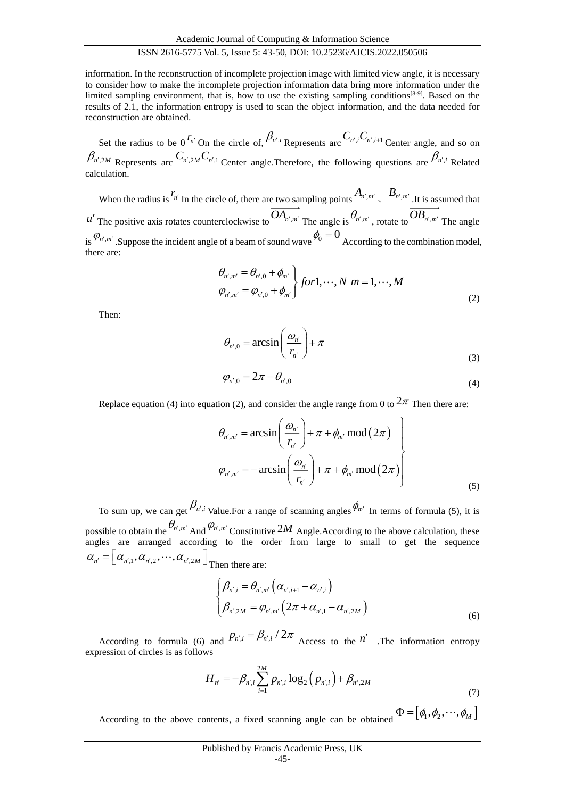Academic Journal of Computing & Information Science

# ISSN 2616-5775 Vol. 5, Issue 5: 43-50, DOI: 10.25236/AJCIS.2022.050506

information. In the reconstruction of incomplete projection image with limited view angle, it is necessary to consider how to make the incomplete projection information data bring more information under the limited sampling environment, that is, how to use the existing sampling conditions<sup>[8-9]</sup>. Based on the results of 2.1, the information entropy is used to scan the object information, and the data needed for reconstruction are obtained.

Set the radius to be 0<sup>*r<sub>n'</sub>*</sup> On the circle of,  $\beta_{n',i}$  Represents arc  $C_{n',i}C_{n',i+1}$  Center angle, and so on  $\beta_{n',2M}$  Represents arc  $C_{n',2M}C_{n',1}$  Center angle.Therefore, the following questions are  $\beta_{n',i}$  Related calculation.

When the radius is  $r_{n'}$  In the circle of, there are two sampling points  $A_{n',m'}$ ,  $B_{n',m'}$  . It is assumed that *u*<sup> $l$ </sup> The positive axis rotates counterclockwise to  $OA_{n',m'}$  The angle is  $\theta_{n',m'}$ , rotate to  $OB_{n',m'}$  The angle is  $\mathcal{P}_{n',m'}$ . Suppose the incident angle of a beam of sound wave  $\phi_0 = 0$  According to the combination model, there are:

$$
\left\{\n\begin{aligned}\n\theta_{n',m'} &= \theta_{n',0} + \phi_{m'} \\
\varphi_{n',m'} &= \phi_{n',0} + \phi_{m'}\n\end{aligned}\n\right\}\nfor 1, \cdots, N \ m = 1, \cdots, M
$$
\n(2)

Then:

$$
\theta_{n',0} = \arcsin\left(\frac{\omega_{n'}}{r_{n'}}\right) + \pi
$$
\n(3)

$$
\varphi_{n',0} = 2\pi - \theta_{n',0} \tag{4}
$$

Replace equation (4) into equation (2), and consider the angle range from 0 to  $2\pi$  Then there are:

$$
\theta_{n',m'} = \arcsin\left(\frac{\omega_{n'}}{r_{n'}}\right) + \pi + \phi_{m'} \mod(2\pi)
$$
\n
$$
\varphi_{n',m'} = -\arcsin\left(\frac{\omega_{n'}}{r_{n'}}\right) + \pi + \phi_{m'} \mod(2\pi)
$$
\n(5)

To sum up, we can get  $\beta_{n',i}$  Value.For a range of scanning angles  $\phi_{m'}$  In terms of formula (5), it is possible to obtain the  $\theta_{n',m'}$  And  $\varphi_{n',m'}$  Constitutive 2*M* Angle.According to the above calculation, these angles are arranged according to the order from large to small to get the sequence  $\alpha_{n'} = \left[\alpha_{n',1}, \alpha_{n',2}, \cdots, \alpha_{n',2M}\right]$ Then there are:

$$
\begin{cases}\n\beta_{n',i} = \theta_{n',m'} \left( \alpha_{n',i+1} - \alpha_{n',i} \right) \\
\beta_{n',2M} = \varphi_{n',m'} \left( 2\pi + \alpha_{n',1} - \alpha_{n',2M} \right)\n\end{cases}
$$
\n(6)

According to formula (6) and  $P_{n',i} = \beta_{n',i}/2\pi$  Access to the *n*' .The information entropy expression of circles is as follows

$$
H_{n'} = -\beta_{n',i} \sum_{i=1}^{2M} p_{n',i} \log_2 (p_{n',i}) + \beta_{n'',2M}
$$
\n(7)

According to the above contents, a fixed scanning angle can be obtained  $\Phi = [\phi_1, \phi_2, \cdots, \phi_M]$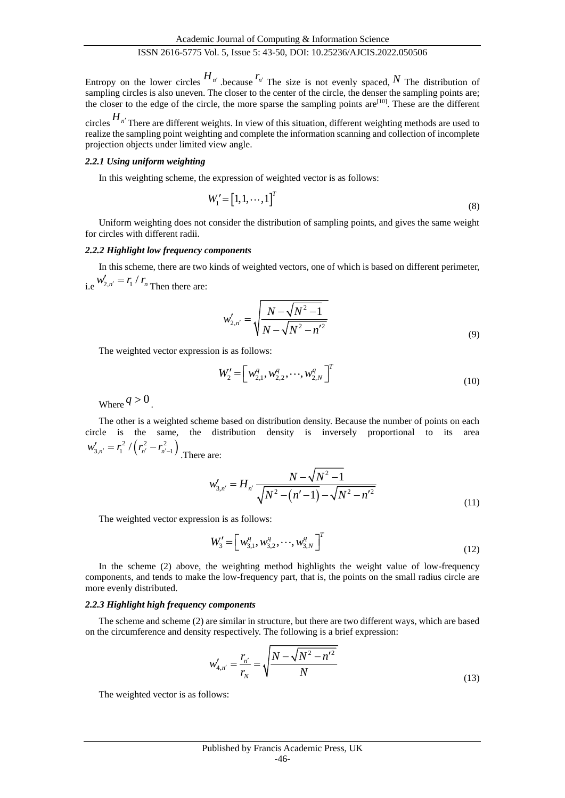Entropy on the lower circles  $H_{n'}$  because  $r_{n'}$  The size is not evenly spaced, N The distribution of sampling circles is also uneven. The closer to the center of the circle, the denser the sampling points are; the closer to the edge of the circle, the more sparse the sampling points are $[10]$ . These are the different

circles *H n* There are different weights. In view of this situation, different weighting methods are used to realize the sampling point weighting and complete the information scanning and collection of incomplete projection objects under limited view angle.

#### *2.2.1 Using uniform weighting*

In this weighting scheme, the expression of weighted vector is as follows:

$$
W_1' = \begin{bmatrix} 1, 1, \cdots, 1 \end{bmatrix}^T \tag{8}
$$

Uniform weighting does not consider the distribution of sampling points, and gives the same weight for circles with different radii.

#### *2.2.2 Highlight low frequency components*

In this scheme, there are two kinds of weighted vectors, one of which is based on different perimeter, i.e  $W'_{2,n'} = r_1 / r_n$  $T_{2,n'} = r_1 / r_n$  Then there are:

$$
w'_{2,n'} = \sqrt{\frac{N - \sqrt{N^2 - 1}}{N - \sqrt{N^2 - n'^2}}}
$$
\n(9)

The weighted vector expression is as follows:

$$
W_2' = \left[ w_{2,1}^q, w_{2,2}^q, \cdots, w_{2,N}^q \right]^T
$$
\n(10)

Where  $q > 0$ .

The other is a weighted scheme based on distribution density. Because the number of points on each circle is the same, the distribution density is inversely proportional to its area  $w'_{3,n'} = r_1^2 / (r_{n'}^2 - r_{n'-1}^2)$  $T'_{3,n'} = r_1^2 / (r_{n'}^2 - r_{n'-1}^2)$ . There are:

$$
w'_{3,n'} = H_{n'} \frac{N - \sqrt{N^2 - 1}}{\sqrt{N^2 - (n' - 1)} - \sqrt{N^2 - n'^2}}
$$
\n(11)

The weighted vector expression is as follows:

$$
W_3' = \left[ w_{3,1}^q, w_{3,2}^q, \cdots, w_{3,N}^q \right]^T
$$
\n(12)

In the scheme (2) above, the weighting method highlights the weight value of low-frequency components, and tends to make the low-frequency part, that is, the points on the small radius circle are more evenly distributed.

#### *2.2.3 Highlight high frequency components*

The scheme and scheme (2) are similar in structure, but there are two different ways, which are based on the circumference and density respectively. The following is a brief expression:

$$
w'_{4,n'} = \frac{r_{n'}}{r_N} = \sqrt{\frac{N - \sqrt{N^2 - n'^2}}{N}}
$$
\n(13)

The weighted vector is as follows: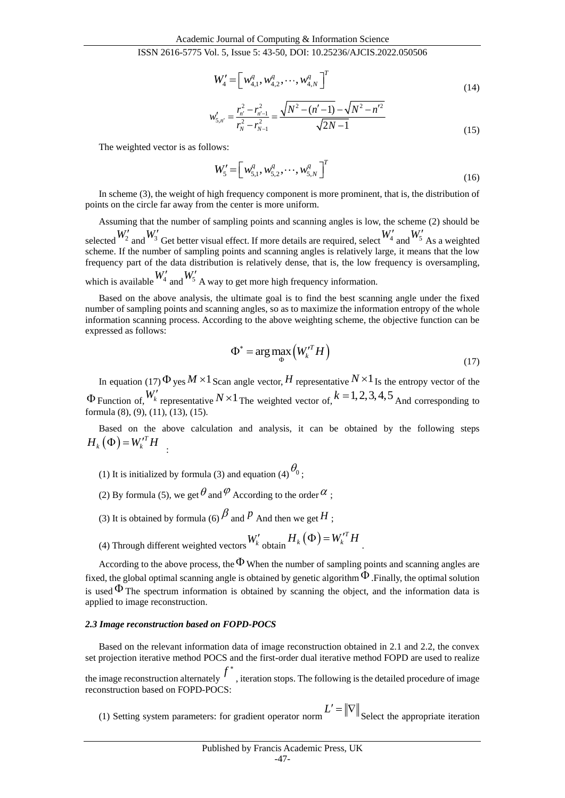$$
W_4' = \left[ w_{4,1}^q, w_{4,2}^q, \cdots, w_{4,N}^q \right]^T
$$
\n(14)

$$
w'_{5,n'} = \frac{r_{n'}^2 - r_{n'-1}^2}{r_N^2 - r_{N-1}^2} = \frac{\sqrt{N^2 - (n'-1)} - \sqrt{N^2 - n'^2}}{\sqrt{2N - 1}}
$$
(15)

The weighted vector is as follows:

$$
W'_{5} = \left[ w_{5,1}^{q}, w_{5,2}^{q}, \cdots, w_{5,N}^{q} \right]^{T}
$$
\n(16)

In scheme (3), the weight of high frequency component is more prominent, that is, the distribution of points on the circle far away from the center is more uniform.

Assuming that the number of sampling points and scanning angles is low, the scheme (2) should be selected  $W_2'$  and  $W_3'$  Get better visual effect. If more details are required, select  $W_4'$  and  $W_5'$  As a weighted scheme. If the number of sampling points and scanning angles is relatively large, it means that the low frequency part of the data distribution is relatively dense, that is, the low frequency is oversampling, which is available  $W'_4$  and  $W'_5$  A way to get more high frequency information.

Based on the above analysis, the ultimate goal is to find the best scanning angle under the fixed number of sampling points and scanning angles, so as to maximize the information entropy of the whole information scanning process. According to the above weighting scheme, the objective function can be expressed as follows:

$$
\Phi^* = \arg \max_{\Phi} \left( W_k^T H \right) \tag{17}
$$

In equation (17)  $\Phi$  yes  $M \times 1$  Scan angle vector, H representative  $N \times 1$  Is the entropy vector of the  $\Phi$  Function of,  $W'_{k}$  representative  $N \times 1$  The weighted vector of,  $k = 1, 2, 3, 4, 5$  And corresponding to formula (8), (9), (11), (13), (15).

Based on the above calculation and analysis, it can be obtained by the following steps  $H_k(\Phi) = W_k^{\prime T} H$ :

- (1) It is initialized by formula (3) and equation (4)  $\theta_0$ ;
- (2) By formula (5), we get  $\theta$  and  $\varphi$  According to the order  $\alpha$ ;
- (3) It is obtained by formula (6)  $\beta$  and P And then we get H ;
- (4) Through different weighted vectors  $W'_{k}$  obtain  $H_{k}(\Phi) = W_{k}^{T}H_{k}$ .

According to the above process, the  $\Phi$  When the number of sampling points and scanning angles are fixed, the global optimal scanning angle is obtained by genetic algorithm  $\Phi$  . Finally, the optimal solution is used  $\Phi$  The spectrum information is obtained by scanning the object, and the information data is applied to image reconstruction.

#### *2.3 Image reconstruction based on FOPD-POCS*

Based on the relevant information data of image reconstruction obtained in 2.1 and 2.2, the convex set projection iterative method POCS and the first-order dual iterative method FOPD are used to realize

the image reconstruction alternately  $f^*$  , iteration stops. The following is the detailed procedure of image reconstruction based on FOPD-POCS:

(1) Setting system parameters: for gradient operator norm  $L' = ||\nabla||$  Select the appropriate iteration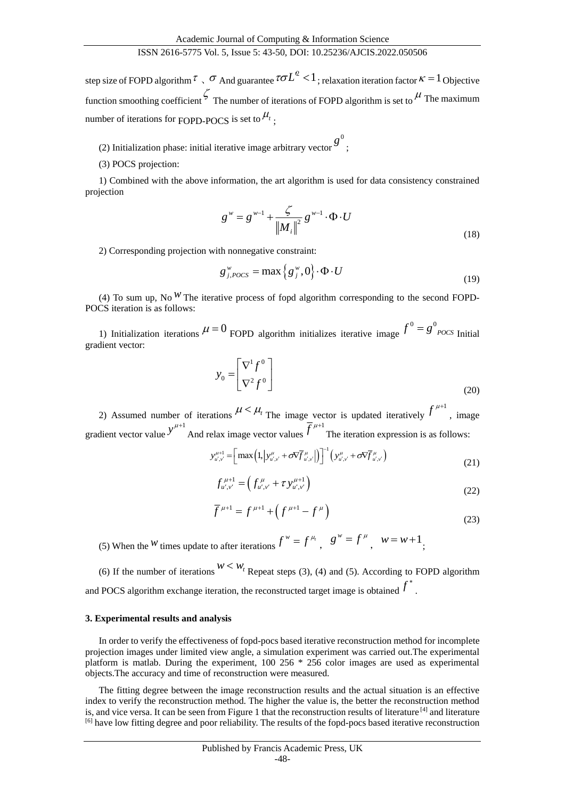step size of FOPD algorithm  $\tau \,$ ,  $\sigma$  And guarantee  $\tau \sigma L^2 < 1$ ; relaxation iteration factor  $\kappa = 1$  Objective function smoothing coefficient  $\zeta$  The number of iterations of FOPD algorithm is set to  $\mu$  The maximum number of iterations for FOPD-POCS is set to  $^{\mu_{_{l}}}$  ;

- (2) Initialization phase: initial iterative image arbitrary vector  $g^{0},$
- (3) POCS projection:

1) Combined with the above information, the art algorithm is used for data consistency constrained projection

$$
g^{w} = g^{w-1} + \frac{\zeta}{\left\| M_{i} \right\|^{2}} g^{w-1} \cdot \Phi \cdot U
$$
\n(18)

2) Corresponding projection with nonnegative constraint:

$$
g_{j,POCS}^{\mathrm{w}} = \max\left\{g_j^{\mathrm{w}}, 0\right\} \cdot \Phi \cdot U \tag{19}
$$

(4) To sum up, No<sup>W</sup> The iterative process of fopd algorithm corresponding to the second FOPD-POCS iteration is as follows:

1) Initialization iterations  $\mu = 0$  FOPD algorithm initializes iterative image  $f^0 = g^0_{POCS}$  Initial gradient vector:

$$
y_0 = \begin{bmatrix} \nabla^1 f^0 \\ \nabla^2 f^0 \end{bmatrix} \tag{20}
$$

2) Assumed number of iterations  $\mu < \mu_t$  The image vector is updated iteratively  $f^{\mu+1}$ , image gradient vector value 1 *y* And relax image vector values  $\overline{f}^{\mu+1}$  The iteration expression is as follows:

$$
y_{u',v'}^{\mu+1} = \left[ \max \left( 1, \left| y_{u',v'}^{\mu} + \sigma \nabla \overline{f}_{u',v'}^{\mu} \right| \right) \right]^{-1} \left( y_{u',v'}^{\mu} + \sigma \nabla \overline{f}_{u',v'}^{\mu} \right) \tag{21}
$$

$$
f_{u',v'}^{\mu+1} = \left(f_{u',v'}^{\mu} + \tau y_{u',v'}^{\mu+1}\right)
$$
\n(22)

$$
\overline{f}^{\mu+1} = f^{\mu+1} + \left(f^{\mu+1} - f^{\mu}\right)
$$
\n(23)

(5) When the W times update to after iterations  $f^w = f^{\mu}$ ,  $g^w = f^{\mu}$ ,  $w = w + 1$ ;

(6) If the number of iterations  $W \leq W_t$  Repeat steps (3), (4) and (5). According to FOPD algorithm and POCS algorithm exchange iteration, the reconstructed target image is obtained  $f^*$ .

#### **3. Experimental results and analysis**

In order to verify the effectiveness of fopd-pocs based iterative reconstruction method for incomplete projection images under limited view angle, a simulation experiment was carried out.The experimental platform is matlab. During the experiment, 100 256 \* 256 color images are used as experimental objects.The accuracy and time of reconstruction were measured.

The fitting degree between the image reconstruction results and the actual situation is an effective index to verify the reconstruction method. The higher the value is, the better the reconstruction method is, and vice versa. It can be seen from Figure 1 that the reconstruction results of literature  $^{[4]}$  and literature [6] have low fitting degree and poor reliability. The results of the fopd-pocs based iterative reconstruction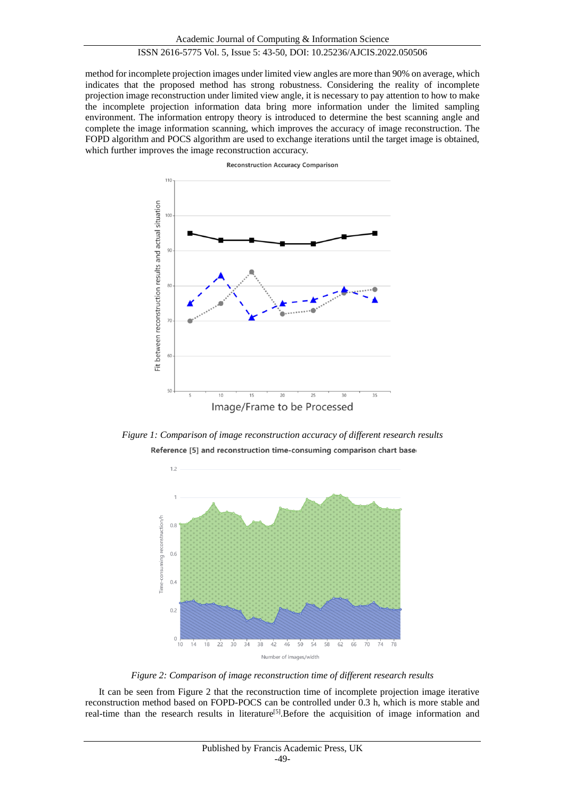method for incomplete projection images under limited view angles are more than 90% on average, which indicates that the proposed method has strong robustness. Considering the reality of incomplete projection image reconstruction under limited view angle, it is necessary to pay attention to how to make the incomplete projection information data bring more information under the limited sampling environment. The information entropy theory is introduced to determine the best scanning angle and complete the image information scanning, which improves the accuracy of image reconstruction. The FOPD algorithm and POCS algorithm are used to exchange iterations until the target image is obtained, which further improves the image reconstruction accuracy.



**Reconstruction Accuracy Comparison** 

*Figure 1: Comparison of image reconstruction accuracy of different research results* Reference [5] and reconstruction time-consuming comparison chart base



*Figure 2: Comparison of image reconstruction time of different research results*

It can be seen from Figure 2 that the reconstruction time of incomplete projection image iterative reconstruction method based on FOPD-POCS can be controlled under 0.3 h, which is more stable and real-time than the research results in literature<sup>[5]</sup>. Before the acquisition of image information and